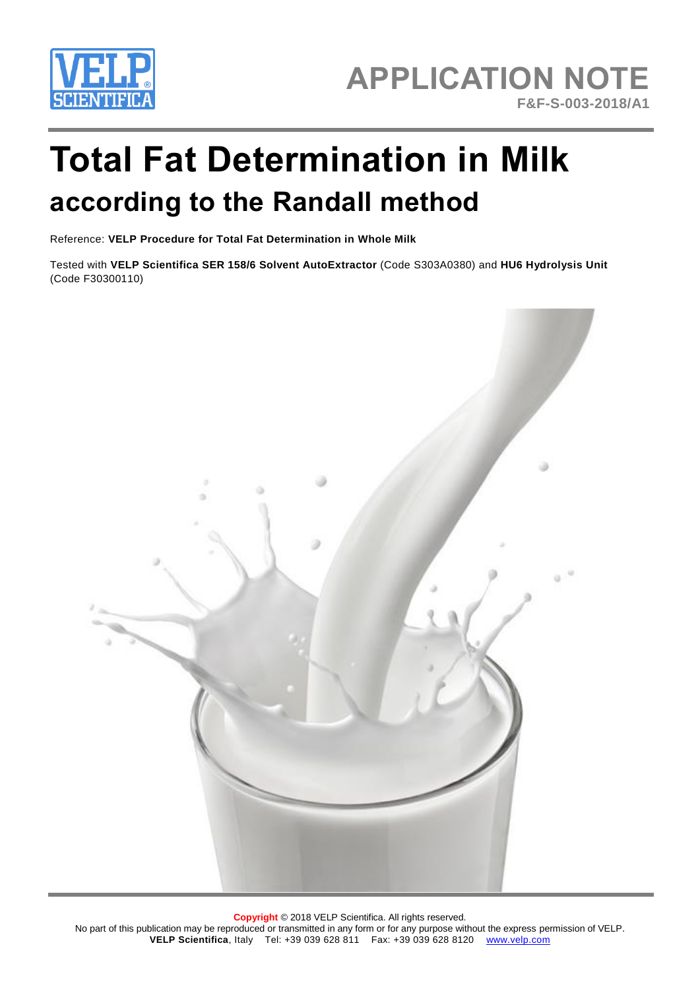

# **Total Fat Determination in Milk according to the Randall method**

Reference: **VELP Procedure for Total Fat Determination in Whole Milk**

Tested with **VELP Scientifica SER 158/6 Solvent AutoExtractor** (Code S303A0380) and **HU6 Hydrolysis Unit**  (Code F30300110)



**Copyright** © 2018 VELP Scientifica. All rights reserved. No part of this publication may be reproduced or transmitted in any form or for any purpose without the express permission of VELP. **VELP Scientifica**, Italy Tel: +39 039 628 811 Fax: +39 039 628 8120 [www.velp.com](http://www.velp.com/)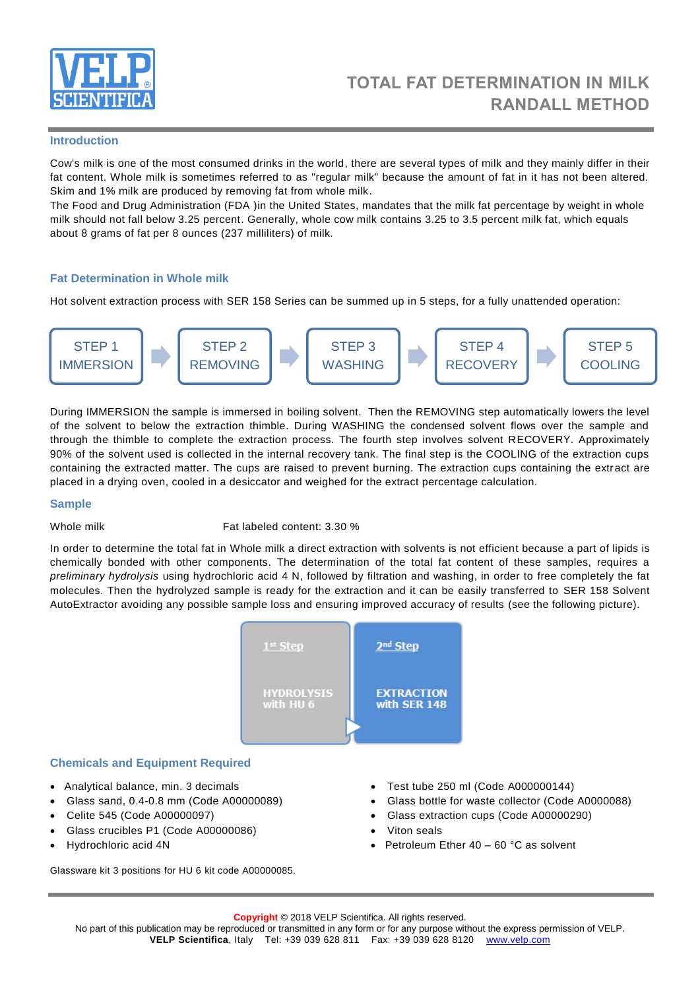

#### **Introduction**

Cow's milk is one of the most consumed drinks in the world, there are several types of milk and they mainly differ in their fat content. Whole milk is sometimes referred to as "regular milk" because the amount of fat in it has not been altered. Skim and 1% milk are produced by removing fat from whole milk.

The Food and Drug Administration (FDA )in the United States, mandates that the milk fat percentage by weight in whole milk should not fall below 3.25 percent. Generally, whole cow milk contains 3.25 to 3.5 percent milk fat, which equals about 8 grams of fat per 8 ounces (237 milliliters) of milk.

# **Fat Determination in Whole milk**

Hot solvent extraction process with SER 158 Series can be summed up in 5 steps, for a fully unattended operation:



During IMMERSION the sample is immersed in boiling solvent. Then the REMOVING step automatically lowers the level of the solvent to below the extraction thimble. During WASHING the condensed solvent flows over the sample and through the thimble to complete the extraction process. The fourth step involves solvent RECOVERY. Approximately 90% of the solvent used is collected in the internal recovery tank. The final step is the COOLING of the extraction cups containing the extracted matter. The cups are raised to prevent burning. The extraction cups containing the extract are placed in a drying oven, cooled in a desiccator and weighed for the extract percentage calculation.

#### **Sample**

Whole milk Fat labeled content: 3.30 %

In order to determine the total fat in Whole milk a direct extraction with solvents is not efficient because a part of lipids is chemically bonded with other components. The determination of the total fat content of these samples, requires a *preliminary hydrolysis* using hydrochloric acid 4 N, followed by filtration and washing, in order to free completely the fat molecules. Then the hydrolyzed sample is ready for the extraction and it can be easily transferred to SER 158 Solvent AutoExtractor avoiding any possible sample loss and ensuring improved accuracy of results (see the following picture).



# **Chemicals and Equipment Required**

- Analytical balance, min. 3 decimals
- Glass sand, 0.4-0.8 mm (Code A00000089)
- Celite 545 (Code A00000097)
- Glass crucibles P1 (Code A00000086)
- Hydrochloric acid 4N

Glassware kit 3 positions for HU 6 kit code A00000085.

- Test tube 250 ml (Code A000000144)
- Glass bottle for waste collector (Code A0000088)
- Glass extraction cups (Code A00000290)
- Viton seals
- Petroleum Ether 40 60 °C as solvent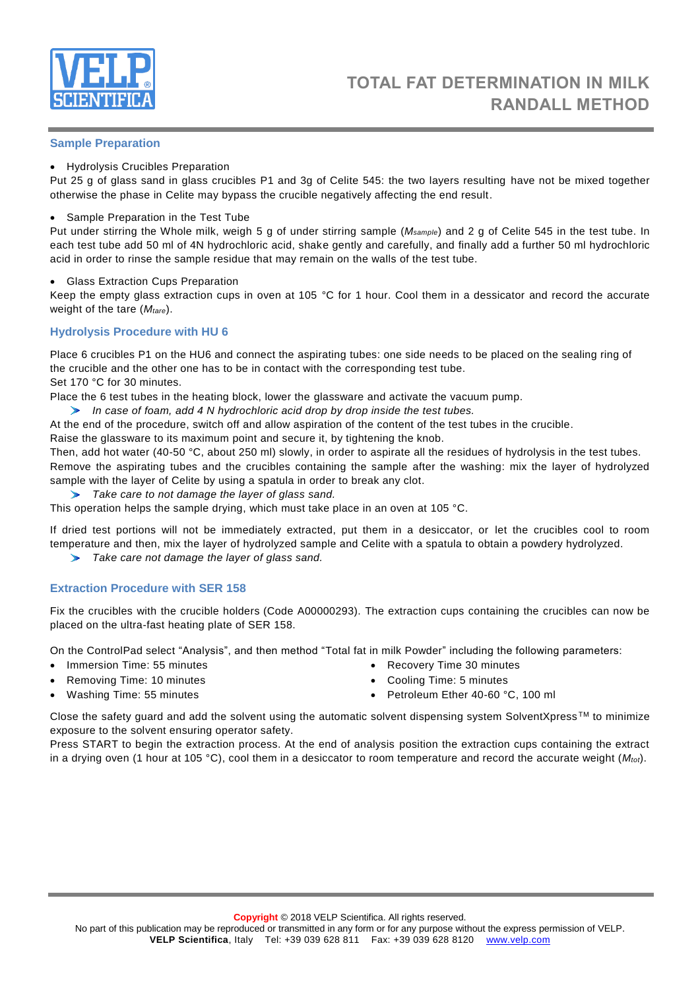

# **Sample Preparation**

Hydrolysis Crucibles Preparation

Put 25 g of glass sand in glass crucibles P1 and 3g of Celite 545: the two layers resulting have not be mixed together otherwise the phase in Celite may bypass the crucible negatively affecting the end result.

### • Sample Preparation in the Test Tube

Put under stirring the Whole milk, weigh 5 g of under stirring sample (*Msample*) and 2 g of Celite 545 in the test tube. In each test tube add 50 ml of 4N hydrochloric acid, shake gently and carefully, and finally add a further 50 ml hydrochloric acid in order to rinse the sample residue that may remain on the walls of the test tube.

Glass Extraction Cups Preparation

Keep the empty glass extraction cups in oven at 105 °C for 1 hour. Cool them in a dessicator and record the accurate weight of the tare (*Mtare*).

# **Hydrolysis Procedure with HU 6**

Place 6 crucibles P1 on the HU6 and connect the aspirating tubes: one side needs to be placed on the sealing ring of the crucible and the other one has to be in contact with the corresponding test tube. Set 170 °C for 30 minutes.

Place the 6 test tubes in the heating block, lower the glassware and activate the vacuum pump.

*In case of foam, add 4 N hydrochloric acid drop by drop inside the test tubes.*

At the end of the procedure, switch off and allow aspiration of the content of the test tubes in the crucible.

Raise the glassware to its maximum point and secure it, by tightening the knob.

Then, add hot water (40-50 °C, about 250 ml) slowly, in order to aspirate all the residues of hydrolysis in the test tubes. Remove the aspirating tubes and the crucibles containing the sample after the washing: mix the layer of hydrolyzed sample with the layer of Celite by using a spatula in order to break any clot.

*Take care to not damage the layer of glass sand.*

This operation helps the sample drying, which must take place in an oven at 105 °C.

If dried test portions will not be immediately extracted, put them in a desiccator, or let the crucibles cool to room temperature and then, mix the layer of hydrolyzed sample and Celite with a spatula to obtain a powdery hydrolyzed.

*Take care not damage the layer of glass sand.*

# **Extraction Procedure with SER 158**

Fix the crucibles with the crucible holders (Code A00000293). The extraction cups containing the crucibles can now be placed on the ultra-fast heating plate of SER 158.

On the ControlPad select "Analysis", and then method "Total fat in milk Powder" including the following parameters:

- Immersion Time: 55 minutes
- Removing Time: 10 minutes

 Recovery Time 30 minutes Cooling Time: 5 minutes

Washing Time: 55 minutes

• Petroleum Ether 40-60 °C, 100 ml

Close the safety guard and add the solvent using the automatic solvent dispensing system SolventXpress™ to minimize exposure to the solvent ensuring operator safety.

Press START to begin the extraction process. At the end of analysis position the extraction cups containing the extract in a drying oven (1 hour at 105 °C), cool them in a desiccator to room temperature and record the accurate weight (*Mtot*).